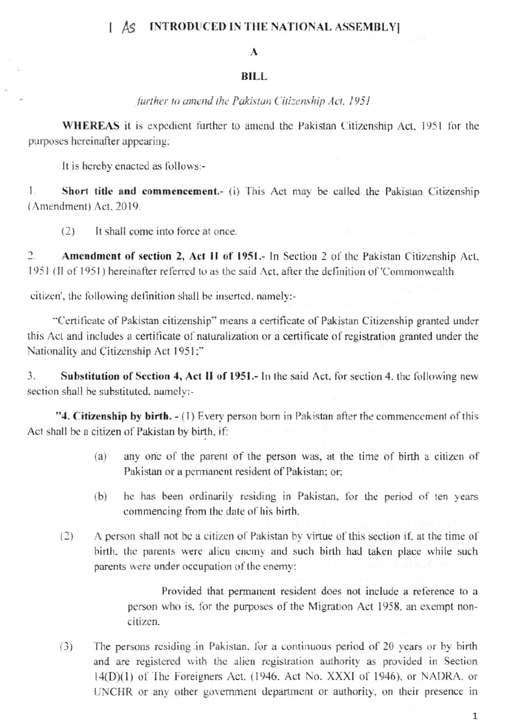## [ AS INTRODUCED IN THE NATIONAL ASSEMBLY]

## $\mathbf{A}$

## BILL.

further to amend the Pakistan Citizenship Act, 1951

**WHEREAS** it is expedient further to amend the Pakistan Citizenship Act, 1951 for the purposes hereinafter appearing;

It is hereby enacted as follows:-

1. **Short title and commencement.** (i) This Act may be called the Pakistan Citizenship (Amendment) Act, 2019.

 $(2)$ It shall come into force at once.

Amendment of section 2, Act II of 1951.- In Section 2 of the Pakistan Citizenship Act,  $\overline{2}$ . 1951 (Il of 1951) hereinafter referred to as the said Act, after the definition of 'Commonwealth

citizen', the following definition shall be inserted, namely:-

"Certificate of Pakistan citizenship" means a certificate of Pakistan Citizenship granted under this Act and includes a certificate of naturalization or a certificate of registration granted under the Nationality and Citizenship Act 1951;"

3. Substitution of Section 4, Act II of 1951.- In the said Act, for section 4, the following new section shall be substituted, namely:-

"4. Citizenship by birth. - (1) Every person born in Pakistan after the commencement of this Act shall be a citizen of Pakistan by birth, if:

- any one of the parent of the person was, at the time of birth a citizen of  $(a)$ Pakistan or a permanent resident of Pakistan; or:
- he has been ordinarily residing in Pakistan, for the period of ten years  $(b)$ commencing from the date of his birth.
- $(2)$ A person shall not be a citizen of Pakistan by virtue of this section if, at the time of birth, the parents were alien enemy and such birth had taken place while such parents were under occupation of the enemy:

Provided that permanent resident does not include a reference to a person who is, for the purposes of the Migration Act 1958, an exempt noncitizen.

The persons residing in Pakistan, for a continuous period of 20 years or by birth  $(3)$ and are registered with the alien registration authority as provided in Section 14(D)(1) of The Foreigners Act. (1946, Act No. XXXI of 1946), or NADRA, or UNCHR or any other government department or authority, on their presence in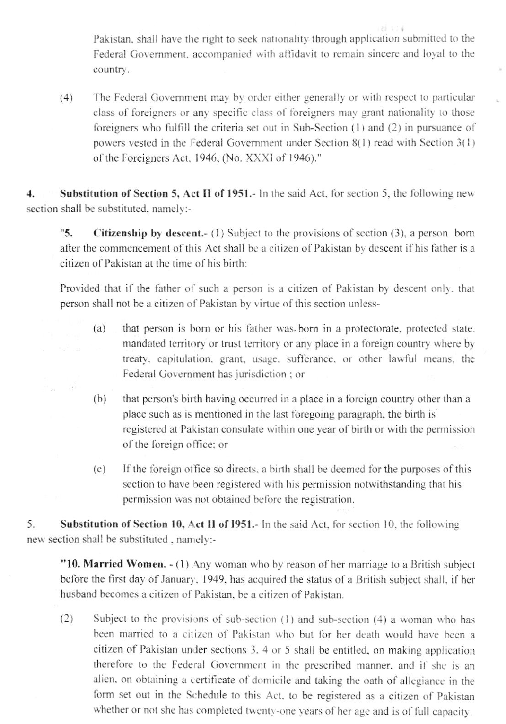Pakistan, shall have the right to seek nationality through application submitted to the Federal Government, accompanied with affidavit to remain sincere and loyal to the country.

The Federal Government may by order either generally or with respect to particular  $(4)$ class of foreigners or any specific class of foreigners may grant nationality to those foreigners who fulfill the criteria set out in Sub-Section (1) and (2) in pursuance of powers vested in the Federal Government under Section 8(1) read with Section 3(1) of the Foreigners Act, 1946, (No. XXXI of 1946)."

 $\overline{4}$ . Substitution of Section 5, Act II of 1951.- In the said Act, for section 5, the following new section shall be substituted, namely:-

 $"5.$ **Citizenship by descent.**- (1) Subject to the provisions of section  $(3)$ , a person born after the commencement of this Act shall be a citizen of Pakistan by descent if his father is a citizen of Pakistan at the time of his birth:

Provided that if the father of such a person is a citizen of Pakistan by descent only, that person shall not be a citizen of Pakistan by virtue of this section unless-

- that person is born or his father was born in a protectorate, protected state.  $(a)$ mandated territory or trust territory or any place in a foreign country where by treaty, capitulation, grant, usage, sufferance, or other lawful means, the Federal Government has jurisdiction ; or
- $(b)$ that person's birth having occurred in a place in a foreign country other than a place such as is mentioned in the last foregoing paragraph, the birth is registered at Pakistan consulate within one year of birth or with the permission of the foreign office; or
- If the foreign office so directs, a birth shall be deemed for the purposes of this  $(c)$ section to have been registered with his permission notwithstanding that his permission was not obtained before the registration.

5. Substitution of Section 10, Act II of 1951.- In the said Act, for section 10, the following new section shall be substituted, namely:-

"10. Married Women. - (1) Any woman who by reason of her marriage to a British subject before the first day of January, 1949, has acquired the status of a British subject shall, if her husband becomes a citizen of Pakistan, be a citizen of Pakistan.

 $(2)$ Subject to the provisions of sub-section (1) and sub-section (4) a woman who has been married to a citizen of Pakistan who but for her death would have been a citizen of Pakistan under sections 3, 4 or 5 shall be entitled, on making application therefore to the Federal Government in the prescribed manner, and if she is an alien, on obtaining a certificate of domicile and taking the oath of allegiance in the form set out in the Schedule to this Act, to be registered as a citizen of Pakistan whether or not she has completed twenty-one years of her age and is of full capacity.